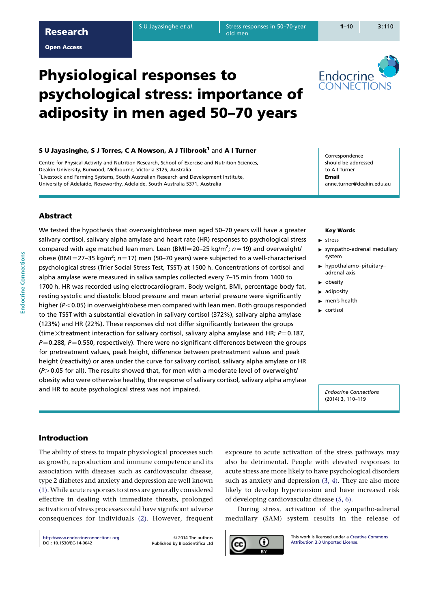# Physiological responses to psychological stress: importance of adiposity in men aged 50–70 years

## S U Jayasinghe, S J Torres, C A Nowson, A J Tilbrook<sup>1</sup> and A I Turner

Centre for Physical Activity and Nutrition Research, School of Exercise and Nutrition Sciences, Deakin University, Burwood, Melbourne, Victoria 3125, Australia <sup>1</sup> Livestock and Farming Systems, South Australian Research and Development Institute, University of Adelaide, Roseworthy, Adelaide, South Australia 5371, Australia

## Abstract

We tested the hypothesis that overweight/obese men aged 50–70 years will have a greater salivary cortisol, salivary alpha amylase and heart rate (HR) responses to psychological stress compared with age matched lean men. Lean (BMI=20–25 kg/m<sup>2</sup>; n=19) and overweight/ obese (BMI=27-35 kg/m<sup>2</sup>; n=17) men (50-70 years) were subjected to a well-characterised psychological stress (Trier Social Stress Test, TSST) at 1500 h. Concentrations of cortisol and alpha amylase were measured in saliva samples collected every 7–15 min from 1400 to 1700 h. HR was recorded using electrocardiogram. Body weight, BMI, percentage body fat, resting systolic and diastolic blood pressure and mean arterial pressure were significantly higher ( $P < 0.05$ ) in overweight/obese men compared with lean men. Both groups responded to the TSST with a substantial elevation in salivary cortisol (372%), salivary alpha amylase (123%) and HR (22%). These responses did not differ significantly between the groups (time  $\times$  treatment interaction for salivary cortisol, salivary alpha amylase and HR; P=0.187,  $P=0.288$ ,  $P=0.550$ , respectively). There were no significant differences between the groups for pretreatment values, peak height, difference between pretreatment values and peak height (reactivity) or area under the curve for salivary cortisol, salivary alpha amylase or HR  $(P>0.05$  for all). The results showed that, for men with a moderate level of overweight/ obesity who were otherwise healthy, the response of salivary cortisol, salivary alpha amylase and HR to acute psychological stress was not impaired.

should be addressed to A I Turner Email anne.turner@deakin.edu.au

Correspondence

## Key Words

- $\blacktriangleright$  stress
- $\blacktriangleright$  sympatho-adrenal medullary system
- $\blacktriangleright$  hypothalamo-pituitaryadrenal axis
- $\blacktriangleright$  obesity
- $\blacktriangleright$  adiposity
- $\blacktriangleright$  men's health
- $\blacktriangleright$  cortisol

Endocrine Connections (2014) 3, 110–119

## Introduction

The ability of stress to impair physiological processes such as growth, reproduction and immune competence and its association with diseases such as cardiovascular disease, type 2 diabetes and anxiety and depression are well known (1). While acute responses to stress are generally considered effective in dealing with immediate threats, prolonged activation of stress processes could have significant adverse consequences for individuals (2). However, frequent

http://www.endocrineconnections.org DOI: 10.1530/EC-14-0042

 2014 The authors Published by Bioscientifica Ltd

cc

exposure to acute activation of the stress pathways may also be detrimental. People with elevated responses to acute stress are more likely to have psychological disorders such as anxiety and depression (3, 4). They are also more likely to develop hypertension and have increased risk of developing cardiovascular disease (5, 6).

During stress, activation of the sympatho-adrenal medullary (SAM) system re[sults](#page-8-0) in the release of



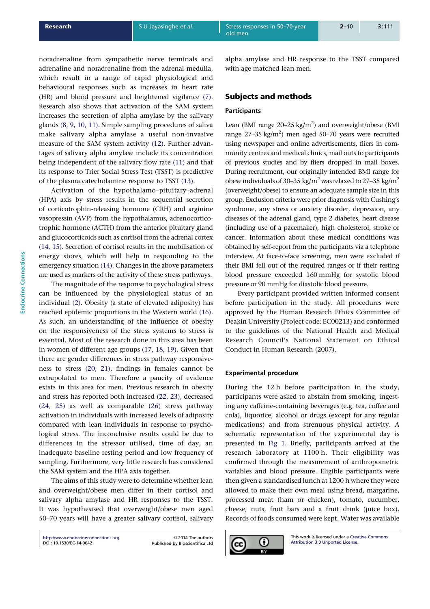noradrenaline from sympathetic nerve terminals and adrenaline and noradrenaline from the adrenal medulla, which result in a range of rapid physiological and behavioural responses such as increases in heart rate (HR) and blood pressure and heightened vigilance (7). Research also shows that activation of the SAM system increases the secretion of alpha amylase by the salivary glands (8, 9, 10, 11). Simple sampling procedures of saliva make salivary alpha amylase a useful non-inva[sive](#page-8-0) measure of the SAM system activity (12). Further advantages of salivary alpha amylase include its concentration being i[ndependent](#page-8-0) of the salivary flow rate (11) and that its response to Trier Social Stress Test (TSST) is predictive of the plasma catecholamine respons[e to](#page-8-0) TSST (13).

Activation of the hypothalamo–pituitary–adrenal (HPA) axis by stress results in the seque[ntial](#page-8-0) secretion of corticotrophin-releasing hormone (CRH) and arginine vasopressin (AVP) from the hypothalamus, adr[enoc](#page-8-0)orticotrophic hormone (ACTH) from the anterior pituitary gland and glucocorticoids such as cortisol from the adrenal cortex (14, 15). Secretion of cortisol results in the mobilisation of energy stores, which will help in responding to the emergency situation (14). Changes in the above parameters are used as markers of the activity of these stress pathways.

[The](#page-8-0) magnitude of the response to psychological stress can be influenced by the physiological status of an individual (2). Obes[ity \(](#page-8-0)a state of elevated adiposity) has reached epidemic proportions in the Western world (16). As such, an understanding of the influence of obesity on the responsiveness of the stress systems to stress is essential. [Mos](#page-8-0)t of the research done in this area has been in women of different age groups (17, 18, 19). Given [that](#page-8-0) there are gender differences in stress pathway responsiveness to stress (20, 21), findings in females cannot be extrapolated to men. Therefore a paucity of evidence exists in this area for men. Previ[ous research](#page-8-0) in obesity and stress has reported both increased (22, 23), decreased (24, 25) as w[ell as c](#page-8-0)omparable (26) stress pathway activation in individuals with increased levels of adiposity compared with lean individuals in response to psychological stress. The inconclusive result[s could](#page-8-0) be due to [differenc](#page-8-0)es in the stressor utilis[ed, t](#page-8-0)ime of day, an inadequate baseline resting period and low frequency of sampling. Furthermore, very little research has considered the SAM system and the HPA axis together.

The aims of this study were to determine whether lean and overweight/obese men differ in their cortisol and salivary alpha amylase and HR responses to the TSST. It was hypothesised that overweight/obese men aged 50–70 years will have a greater salivary cortisol, salivary

 2014 The authors Published by Bioscientifica Ltd alpha amylase and HR response to the TSST compared with age matched lean men.

## Subjects and methods

## Participants

Lean (BMI range  $20-25 \text{ kg/m}^2$ ) and overweight/obese (BMI range 27–35 kg/m<sup>2</sup>) men aged 50–70 years were recruited using newspaper and online advertisements, fliers in community centres and medical clinics, mail outs to participants of previous studies and by fliers dropped in mail boxes. During recruitment, our originally intended BMI range for obese individuals of 30–35 kg/m<sup>2</sup> was relaxed to 27–35 kg/m<sup>2</sup> (overweight/obese) to ensure an adequate sample size in this group. Exclusion criteria were prior diagnosis with Cushing's syndrome, any stress or anxiety disorder, depression, any diseases of the adrenal gland, type 2 diabetes, heart disease (including use of a pacemaker), high cholesterol, stroke or cancer. Information about these medical conditions was obtained by self-report from the participants via a telephone interview. At face-to-face screening, men were excluded if their BMI fell out of the required ranges or if their resting blood pressure exceeded 160 mmHg for systolic blood pressure or 90 mmHg for diastolic blood pressure.

Every participant provided written informed consent before participation in the study. All procedures were approved by the Human Research Ethics Committee of Deakin University (Project code: EC00213) and conformed to the guidelines of the National Health and Medical Research Council's National Statement on Ethical Conduct in Human Research (2007).

#### Experimental procedure

During the 12 h before participation in the study, participants were asked to abstain from smoking, ingesting any caffeine-containing beverages (e.g. tea, coffee and cola), liquorice, alcohol or drugs (except for any regular medications) and from strenuous physical activity. A schematic representation of the experimental day is presented in Fig 1. Briefly, participants arrived at the research laboratory at 1100 h. Their eligibility was confirmed through the measurement of anthropometric variables and blood pressure. Eligible participants were then given a st[andar](#page-2-0)dised lunch at 1200 h where they were allowed to make their own meal using bread, margarine, processed meat (ham or chicken), tomato, cucumber, cheese, nuts, fruit bars and a fruit drink (juice box). Records of foods consumed were kept. Water was available



http://www.endocrineconnections.org DOI: 10.1530/EC-14-0042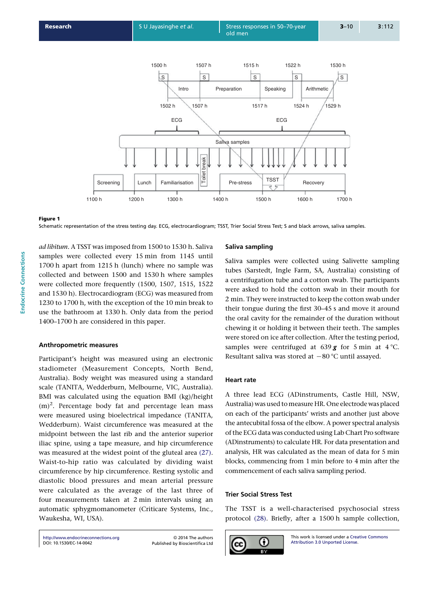<span id="page-2-0"></span>

Schematic representation of the stress testing day. ECG, electrocardiogram; TSST, Trier Social Stress Test; S and black arrows, saliva samples.

ad libitum. A TSST was imposed from 1500 to 1530 h. Saliva samples were collected every 15 min from 1145 until 1700 h apart from 1215 h (lunch) where no sample was collected and between 1500 and 1530 h where samples were collected more frequently (1500, 1507, 1515, 1522 and 1530 h). Electrocardiogram (ECG) was measured from 1230 to 1700 h, with the exception of the 10 min break to use the bathroom at 1330 h. Only data from the period 1400–1700 h are considered in this paper.

### Anthropometric measures

Participant's height was measured using an electronic stadiometer (Measurement Concepts, North Bend, Australia). Body weight was measured using a standard scale (TANITA, Wedderburn, Melbourne, VIC, Australia). BMI was calculated using the equation BMI (kg)/height  $(m)^2$ . Percentage body fat and percentage lean mass were measured using bioelectrical impedance (TANITA, Wedderburn). Waist circumference was measured at the midpoint between the last rib and the anterior superior iliac spine, using a tape measure, and hip circumference was measured at the widest point of the gluteal area (27). Waist-to-hip ratio was calculated by dividing waist circumference by hip circumference. Resting systolic and diastolic blood pressures and mean arterial pressure were calculated as the average of the last thre[e of](#page-8-0) four measurements taken at 2 min intervals using an automatic sphygmomanometer (Criticare Systems, Inc., Waukesha, WI, USA).

http://www.endocrineconnections.org DOI: 10.1530/EC-14-0042

 2014 The authors Published by Bioscientifica Ltd

## Saliva sampling

Saliva samples were collected using Salivette sampling tubes (Sarstedt, Ingle Farm, SA, Australia) consisting of a centrifugation tube and a cotton swab. The participants were asked to hold the cotton swab in their mouth for 2 min. They were instructed to keep the cotton swab under their tongue during the first 30–45 s and move it around the oral cavity for the remainder of the duration without chewing it or holding it between their teeth. The samples were stored on ice after collection. After the testing period, samples were centrifuged at  $639 g$  for 5 min at  $4^{\circ}$ C. Resultant saliva was stored at  $-80$  °C until assayed.

#### Heart rate

A three lead ECG (ADinstruments, Castle Hill, NSW, Australia) was used to measure HR. One electrode was placed on each of the participants' wrists and another just above the antecubital fossa of the elbow. A power spectral analysis of the ECG data was conducted using Lab Chart Pro software (ADinstruments) to calculate HR. For data presentation and analysis, HR was calculated as the mean of data for 5 min blocks, commencing from 1 min before to 4 min after the commencement of each saliva sampling period.

#### Trier Social Stress Test

The TSST is a well-characterised psychosocial stress protocol (28). Briefly, after a 1500 h sample collection,

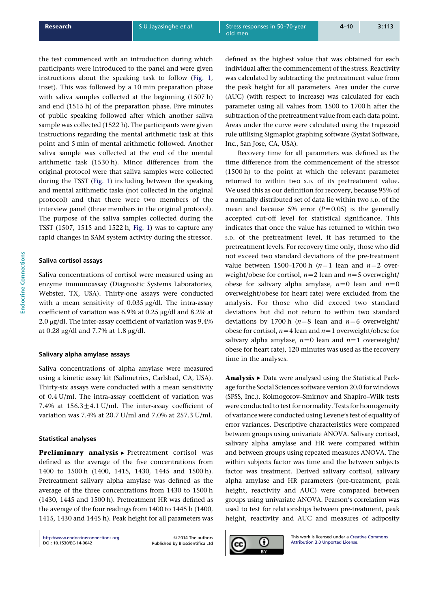the test commenced with an introduction during which participants were introduced to the panel and were given instructions about the speaking task to follow (Fig. 1, inset). This was followed by a 10 min preparation phase with saliva samples collected at the beginning (1507 h) and end (1515 h) of the preparation phase. Five minutes of public speaking followed after which another [saliva](#page-2-0) sample was collected (1522 h). The participants were given instructions regarding the mental arithmetic task at this point and 5 min of mental arithmetic followed. Another saliva sample was collected at the end of the mental arithmetic task (1530 h). Minor differences from the original protocol were that saliva samples were collected during the TSST (Fig. 1) including between the speaking and mental arithmetic tasks (not collected in the original protocol) and that there were two members of the interview panel (three members in the original protocol). The purpose of t[he sal](#page-2-0)iva samples collected during the TSST (1507, 1515 and 1522 h, Fig. 1) was to capture any rapid changes in SAM system activity during the stressor.

#### Saliva cortisol assays

Saliva concentrations of cortisol were measured using an enzyme immunoassay (Diagnostic Systems Laboratories, Webster, TX, USA). Thirty-one assays were conducted with a mean sensitivity of 0.035 µg/dl. The intra-assay coefficient of variation was  $6.9\%$  at 0.25 µg/dl and  $8.2\%$  at  $2.0 \,\mu$ g/dl. The inter-assay coefficient of variation was  $9.4\%$ at 0.28  $\mu$ g/dl and 7.7% at 1.8  $\mu$ g/dl.

### Salivary alpha amylase assays

Saliva concentrations of alpha amylase were measured using a kinetic assay kit (Salimetrics, Carlsbad, CA, USA). Thirty-six assays were conducted with a mean sensitivity of 0.4 U/ml. The intra-assay coefficient of variation was 7.4% at  $156.3 \pm 4.1$  U/ml. The inter-assay coefficient of variation was 7.4% at 20.7 U/ml and 7.0% at 257.3 U/ml.

#### Statistical analyses

**Preliminary analysis**  $\triangleright$  Pretreatment cortisol was defined as the average of the five concentrations from 1400 to 1500 h (1400, 1415, 1430, 1445 and 1500 h). Pretreatment salivary alpha amylase was defined as the average of the three concentrations from 1430 to 1500 h (1430, 1445 and 1500 h). Pretreatment HR was defined as the average of the four readings from 1400 to 1445 h (1400, 1415, 1430 and 1445 h). Peak height for all parameters was

http://www.endocrineconnections.org DOI: 10.1530/EC-14-0042

 2014 The authors Published by Bioscientifica Ltd defined as the highest value that was obtained for each individual after the commencement of the stress. Reactivity was calculated by subtracting the pretreatment value from the peak height for all parameters. Area under the curve (AUC) (with respect to increase) was calculated for each parameter using all values from 1500 to 1700 h after the subtraction of the pretreatment value from each data point. Areas under the curve were calculated using the trapezoid rule utilising Sigmaplot graphing software (Systat Software, Inc., San Jose, CA, USA).

Recovery time for all parameters was defined as the time difference from the commencement of the stressor (1500 h) to the point at which the relevant parameter returned to within two S.D. of its pretreatment value. We used this as our definition for recovery, because 95% of a normally distributed set of data lie within two S.D. of the mean and because 5% error  $(P=0.05)$  is the generally accepted cut-off level for statistical significance. This indicates that once the value has returned to within two S.D. of the pretreatment level, it has returned to the pretreatment levels. For recovery time only, those who did not exceed two standard deviations of the pre-treatment value between 1500–1700 h  $(n=1$  lean and  $n=2$  overweight/obese for cortisol,  $n=2$  lean and  $n=5$  overweight/ obese for salivary alpha amylase,  $n=0$  lean and  $n=0$ overweight/obese for heart rate) were excluded from the analysis. For those who did exceed two standard deviations but did not return to within two standard deviations by 1700 h  $(n=8$  lean and  $n=6$  overweight/ obese for cortisol,  $n=4$  lean and  $n=1$  overweight/obese for salivary alpha amylase,  $n=0$  lean and  $n=1$  overweight/ obese for heart rate), 120 minutes was used as the recovery time in the analyses.

Analysis  $\triangleright$  Data were analysed using the Statistical Package for the Social Sciences software version 20.0 for windows (SPSS, Inc.). Kolmogorov–Smirnov and Shapiro–Wilk tests were conducted to test for normality. Tests for homogeneity of variance were conducted using Levene's test of equality of error variances. Descriptive characteristics were compared between groups using univariate ANOVA. Salivary cortisol, salivary alpha amylase and HR were compared within and between groups using repeated measures ANOVA. The within subjects factor was time and the between subjects factor was treatment. Derived salivary cortisol, salivary alpha amylase and HR parameters (pre-treatment, peak height, reactivity and AUC) were compared between groups using univariate ANOVA. Pearson's correlation was used to test for relationships between pre-treatment, peak height, reactivity and AUC and measures of adiposity

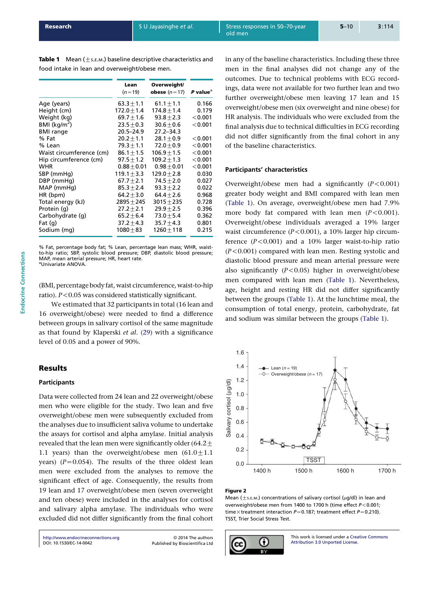% Fat, percentage body fat; % Lean, percentage lean mass; WHR, waistto-hip ratio; SBP, systolic blood pressure; DBP, diastolic blood pressure; MAP, mean arterial pressure; HR, heart rate. a Univariate ANOVA.

(BMI, percentage body fat, waist circumference, waist-to-hip ratio).  $P < 0.05$  was considered statistically significant.

We estimated that 32 participants in total (16 lean and 16 overweight/obese) were needed to find a difference between groups in salivary cortisol of the same magnitude as that found by Klaperski et al. (29) with a significance level of 0.05 and a power of 90%.

## Results

Height (cm)

BMI ( $kg/m<sup>2</sup>$ )

Sodium (mg)

**BMI** range

## Participants

Data were collected from 24 lean and 22 overweight/obese men who were eligible for the study. Two lean and five overweight/obese men were subsequently excluded from the analyses due to insufficient saliva volume to undertake the assays for cortisol and alpha amylase. Initial analysis revealed that the lean men were significantly older (64.2 $\pm$ 1.1 years) than the overweight/obese men  $(61.0 \pm 1.1)$ years) ( $P=0.054$ ). The results of the three oldest lean men were excluded from the analyses to remove the significant effect of age. Consequently, the results from 19 lean and 17 overweight/obese men (seven overweight and ten obese) were included in the analyses for cortisol and salivary alpha amylase. The individuals who were excluded did not differ significantly from the final cohort

http://www.endocrineconnections.org DOI: 10.1530/EC-14-0042

 2014 The authors Published by Bioscientifica Ltd in any of the baseline characteristics. Including these three men in the final analyses did not change any of the outcomes. Due to technical problems with ECG recordings, data were not available for two further lean and two further overweight/obese men leaving 17 lean and 15 overweight/obese men (six overweight and nine obese) for HR analysis. The individuals who were excluded from the final analysis due to technical difficulties in ECG recording did not differ significantly from the final cohort in any of the baseline characteristics.

#### Participants' characteristics

Overweight/obese men had a significantly  $(P<0.001)$ greater body weight and BMI compared with lean men (Table 1). On average, overweight/obese men had 7.9% more body fat compared with lean men  $(P<0.001)$ . Overweight/obese individuals averaged a 19% larger waist circumference  $(P<0.001)$ , a 10% larger hip circumference  $(P<0.001)$  and a 10% larger waist-to-hip ratio  $(P<0.001)$  compared with lean men. Resting systolic and diastolic blood pressure and mean arterial pressure were also significantly  $(P<0.05)$  higher in overweight/obese men compared with lean men (Table 1). Nevertheless, age, height and resting HR did not differ significantly between the groups (Table 1). At the lunchtime meal, the consumption of total energy, protein, carbohydrate, fat and sodium was similar between the groups (Table 1).



#### Figure 2

Mean ( $\pm$ s.E.M.) concentrations of salivary cortisol ( $\mu$ g/dl) in lean and overweight/obese men from 1400 to 1700 h (time effect  $P < 0.001$ ; time  $\times$  treatment interaction P=0.187; treatment effect P=0.210). TSST, Trier Social Stress Test.



This work is licensed under a Creative Commons Attribution 3.0 Unported License.

Lean  $(n=19)$ 

<span id="page-4-0"></span>Age (years)  $63.3 \pm 1.1$   $61.1 \pm 1.1$  0.166<br>
Height (cm)  $172.0 \pm 1.4$   $174.8 \pm 1.4$  0.179

Weight (kg)  $69.7 \pm 1.6$   $93.8 \pm 2.3$   $< 0.001$ <br>BMI (kg/m<sup>2</sup>)  $23.5 \pm 0.3$   $30.6 \pm 0.6$   $< 0.001$ 

% Fat  $20.2 \pm 1.1$   $28.1 \pm 0.9$  < 0.001 % Lean  $79.3 \pm 1.1$   $72.0 \pm 0.9$   $< 0.001$ <br>Waist circumference (cm)  $86.1 \pm 1.5$   $106.9 \pm 1.5$   $< 0.001$ Waist circumference (cm)  $86.1 \pm 1.5$   $106.9 \pm 1.5$  < 0.001<br>Hip circumference (cm)  $97.5 \pm 1.2$   $109.2 \pm 1.3$  < 0.001

WHR 0.88G0.01 0.98G0.01 !0.001  $\begin{array}{cccc} \text{SBP (mmHg)} & 119.1 \pm 3.3 & 129.0 \pm 2.8 & 0.030 \\ \text{DBP (mmHg)} & 67.7 \pm 2.1 & 74.5 \pm 2.0 & 0.027 \end{array}$  $\begin{array}{lllll} \textsf{DBP (mmHg)} & \textsf{67.7}\pm2.1 & \textsf{74.5}\pm2.0 & \textsf{0.027} \ \textsf{MAP (mmHg)} & \textsf{85.3}\pm2.4 & \textsf{93.3}\pm2.2 & \textsf{0.022} \end{array}$ MAP (mmHg)  $85.3 \pm 2.4$   $93.3 \pm 2.2$  0.022<br>HR (bpm)  $64.2 + 3.0$   $64.4 + 2.6$  0.968

Total energy (kJ)  $2895 \pm 245$   $3015 \pm 235$  0.728<br>Protein (g)  $27.2 + 2.1$   $29.9 + 2.5$  0.396 Protein (g)  $27.2 \pm 2.1$   $29.9 \pm 2.5$  0.396<br>Carbohydrate (g) 65.2 $\pm$ 6.4 73.0 $\pm$ 5.4 0.362 Carbohydrate (g)  $65.2 \pm 6.4$   $73.0 \pm 5.4$  0.362<br>Fat (g)  $37.2 \pm 4.3$   $35.7 \pm 4.3$  0.801

Hip circumference (cm)  $97.5\pm1.2$   $109.2\pm1.3$ 

 $23.5\pm0.3$   $30.6\pm0.6$ <br>20.5–24.9 27.2–34.3

Overweight/

 $64.2 \pm 3.0$   $64.4 \pm 2.6$  0.968<br>2895 + 245 3015 + 235 0.728

 $57.2 \pm 4.3$   $35.7 \pm 4.3$  0.801<br>1080 $\pm$ 83 1260 $\pm$ 118 0.215

obese  $(n=17)$  P value<sup>a</sup>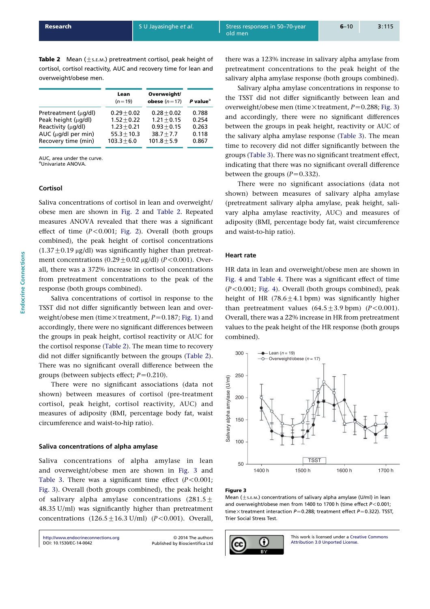Table 2 Mean  $(\pm s.\text{E.M.})$  pretreatment cortisol, peak height of cortisol, cortisol reactivity, AUC and recovery time for lean and overweight/obese men.

|                             | Lean<br>$(n=19)$ | Overweight/<br>obese $(n=17)$ | $P$ value <sup>a</sup> |
|-----------------------------|------------------|-------------------------------|------------------------|
| Pretreatment (µq/dl)        | $0.29 + 0.02$    | $0.28 + 0.02$                 | 0.788                  |
| Peak height (ug/dl)         | $1.52 + 0.22$    | $1.21 + 0.15$                 | 0.254                  |
| Reactivity (µg/dl)          | $1.23 + 0.21$    | $0.93 + 0.15$                 | 0.263                  |
| $AUC$ ( $\mu$ g/dl per min) | $55.3 + 10.3$    | $38.7 + 7.7$                  | 0.118                  |
| Recovery time (min)         | $103.3 + 6.0$    | $101.8 + 5.9$                 | 0.867                  |

AUC, area under the curve.

a Univariate ANOVA.

## Cortisol

Saliva concentrations of cortisol in lean and overweight/ obese men are shown in Fig. 2 and Table 2. Repeated measures ANOVA revealed that there was a significant effect of time  $(P<0.001$ ; Fig. 2). Overall (both groups combined), the peak height of cortisol concentrations  $(1.37\pm0.19 \,\mu\text{g/dl})$  was sig[nificant](#page-4-0)ly higher than pretreatment concentrations  $(0.29 \pm 0.02 \mu g/dl)$  (P<0.001). Overall, there was a 372% incr[ease](#page-4-0) [in](#page-4-0) cortisol concentrations from pretreatment concentrations to the peak of the response (both groups combined).

Saliva concentrations of cortisol in response to the TSST did not differ significantly between lean and overweight/obese men (time $\times$ treatment, P=0.187; Fig. 1) and accordingly, there were no significant differences between the groups in peak height, cortisol reactivity or AUC for the cortisol response (Table 2). The mean time to recovery did not differ significantly between the group[s](#page-2-0) [\(Tabl](#page-2-0)e 2). There was no significant overall difference between the groups (between subjects effect;  $P=0.210$ ).

There were no significant associations (data not shown) between measures of cortisol (pre-treatment cortisol, peak height, cortisol reactivity, AUC) and measures of adiposity (BMI, percentage body fat, waist circumference and waist-to-hip ratio).

#### Saliva concentrations of alpha amylase

Saliva concentrations of alpha amylase in lean and overweight/obese men are shown in Fig. 3 and Table 3. There was a significant time effect  $(P<0.001;$ Fig. 3). Overall (both groups combined), the peak height of salivary alpha amylase concentrations  $(281.5\pm$ 48.35 U/ml) was significantly higher than pretreatment [concent](#page-6-0)rations  $(126.5 \pm 16.3 \text{ U/ml})$   $(P<0.001)$ . Overall,

 2014 The authors Published by Bioscientifica Ltd there was a 123% increase in salivary alpha amylase from pretreatment concentrations to the peak height of the salivary alpha amylase response (both groups combined).

Salivary alpha amylase concentrations in response to the TSST did not differ significantly between lean and overweight/obese men (time $\times$ treatment, P=0.288; Fig. 3) and accordingly, there were no significant differences between the groups in peak height, reactivity or AUC of the salivary alpha amylase response (Table 3). The mean time to recovery did not differ significantly between the groups (Table 3). There was no significant treatment effect, indicating that there was no significant overall difference between the groups  $(P=0.332)$ .

There were no significant associations (data not shown) [betwee](#page-6-0)n measures of salivary alpha amylase (pretreatment salivary alpha amylase, peak height, salivary alpha amylase reactivity, AUC) and measures of adiposity (BMI, percentage body fat, waist circumference and waist-to-hip ratio).

#### Heart rate

HR data in lean and overweight/obese men are shown in Fig. 4 and Table 4. There was a significant effect of time  $(P<0.001$ ; Fig. 4). Overall (both groups combined), peak height of HR (78.6 $\pm$ 4.1 bpm) was significantly higher than pretreatment values  $(64.5 \pm 3.9 \text{ bpm})$   $(P<0.001)$ . [Overa](#page-6-0)ll, th[ere was a](#page-7-0) 22% increase in HR from pretreatment values to t[he peak](#page-6-0) height of the HR response (both groups combined).



#### Figure 3

Mean ( $\pm$ s.E.M.) concentrations of salivary alpha amylase (U/ml) in lean and overweight/obese men from 1400 to 1700 h (time effect  $P < 0.001$ ; time $\times$ treatment interaction P=0.288; treatment effect P=0.322). TSST, Trier Social Stress Test.



http://www.endocrineconnections.org DOI: 10.1530/EC-14-0042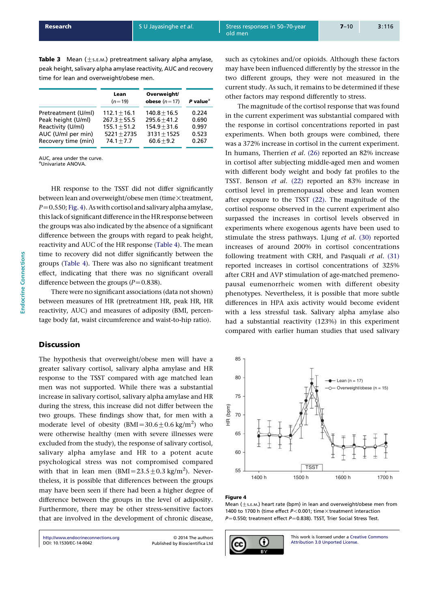<span id="page-6-0"></span>Table 3 Mean  $(\pm s.\text{E.M.})$  pretreatment salivary alpha amylase, peak height, salivary alpha amylase reactivity, AUC and recovery time for lean and overweight/obese men.

|                     | Lean<br>$(n=19)$ | Overweight/<br>obese $(n=17)$ | $P$ value <sup>a</sup> |
|---------------------|------------------|-------------------------------|------------------------|
| Pretreatment (U/ml) | $112.1 + 16.1$   | $140.8 + 16.5$                | 0.224                  |
| Peak height (U/ml)  | $267.3 + 55.5$   | $295.6 + 41.2$                | 0.690                  |
| Reactivity (U/ml)   | $155.1 + 51.2$   | $154.9 + 31.6$                | 0.997                  |
| AUC (U/ml per min)  | $5221 + 2735$    | $3131 + 1525$                 | 0.523                  |
| Recovery time (min) | $74.1 + 7.7$     | $60.6 + 9.2$                  | 0.267                  |

AUC, area under the curve.

a Univariate ANOVA.

HR response to the TSST did not differ significantly between lean and overweight/obese men (time $\times$ treatment,  $P=0.550$ ; Fig. 4). As with cortisol and salivary alpha amylase, this lack of significant difference in the HR response between the groups was also indicated by the absence of a significant difference between the groups with regard to peak height, reactivity and AUC of the HR response (Table 4). The mean time to recovery did not differ significantly between the groups (Table 4). There was also no significant treatment effect, indicating that there was no significant overall difference between the groups  $(P=0.838)$ .

There were no significant associations (data not shown) betwee[n measur](#page-7-0)es of HR (pretreatment HR, peak HR, HR reactivity, AUC) and measures of adiposity (BMI, percentage body fat, waist circumference and waist-to-hip ratio).

## **Discussion**

The hypothesis that overweight/obese men will have a greater salivary cortisol, salivary alpha amylase and HR response to the TSST compared with age matched lean men was not supported. While there was a substantial increase in salivary cortisol, salivary alpha amylase and HR during the stress, this increase did not differ between the two groups. These findings show that, for men with a moderate level of obesity  $(BMI = 30.6 \pm 0.6 \text{ kg/m}^2)$  who were otherwise healthy (men with severe illnesses were excluded from the study), the response of salivary cortisol, salivary alpha amylase and HR to a potent acute psychological stress was not compromised compared with that in lean men  $(BMI = 23.5 \pm 0.3 \text{ kg/m}^2)$ . Nevertheless, it is possible that differences between the groups may have been seen if there had been a higher degree of difference between the groups in the level of adiposity. Furthermore, there may be other stress-sensitive factors that are involved in the development of chronic disease,

http://www.endocrineconnections.org DOI: 10.1530/EC-14-0042

 2014 The authors Published by Bioscientifica Ltd such as cytokines and/or opioids. Although these factors may have been influenced differently by the stressor in the two different groups, they were not measured in the current study. As such, it remains to be determined if these other factors may respond differently to stress.

The magnitude of the cortisol response that was found in the current experiment was substantial compared with the response in cortisol concentrations reported in past experiments. When both groups were combined, there was a 372% increase in cortisol in the current experiment. In humans, Therrien et al. (26) reported an 82% increase in cortisol after subjecting middle-aged men and women with different body weight and body fat profiles to the TSST. Benson et al. (22) reported an 83% increase in cortisol level in premeno[pausa](#page-8-0)l obese and lean women after exposure to the TSST (22). The magnitude of the cortisol response observed in the current experiment also surpassed the increa[ses](#page-8-0) in cortisol levels observed in experiments where exogenous agents have been used to stimulate the stress pathwa[ys. L](#page-8-0)jung et al. (30) reported increases of around 200% in cortisol concentrations following treatment with CRH, and Pasquali et al. (31) reported increases in cortisol concentrations of 325% after CRH and AVP stimulation of age-matc[hed p](#page-8-0)remenopausal eumenorrheic women with different obesity phenotypes. Nevertheless, it is possible that more s[ubtle](#page-8-0) differences in HPA axis activity would become evident with a less stressful task. Salivary alpha amylase also had a substantial reactivity (123%) in this experiment compared with earlier human studies that used salivary



#### Figure 4

Mean ( $\pm$ s.E.M.) heart rate (bpm) in lean and overweight/obese men from 1400 to 1700 h (time effect  $P < 0.001$ ; time $\times$ treatment interaction  $P=0.550$ ; treatment effect  $P=0.838$ ). TSST, Trier Social Stress Test.

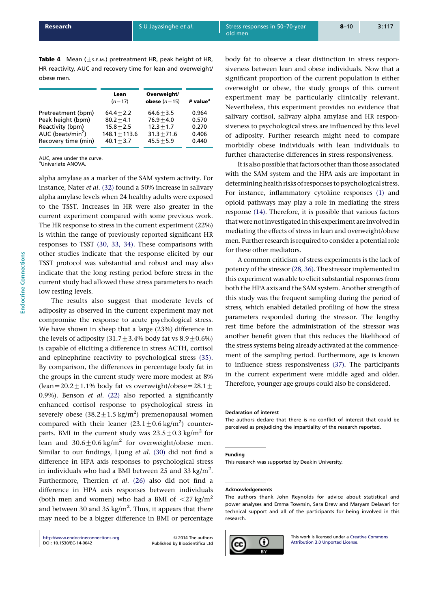<span id="page-7-0"></span>Table 4 Mean  $(\pm s.\text{E.M.})$  pretreatment HR, peak height of HR, HR reactivity, AUC and recovery time for lean and overweight/ obese men.

|                               | Lean<br>$(n=17)$ | Overweight/<br>obese $(n=15)$ | $P$ value <sup>a</sup> |
|-------------------------------|------------------|-------------------------------|------------------------|
| Pretreatment (bpm)            | $64.4 + 2.2$     | $64.6 + 3.5$                  | 0.964                  |
| Peak height (bpm)             | $80.2 + 4.1$     | $76.9 + 4.0$                  | 0.570                  |
| Reactivity (bpm)              | $15.8 + 2.5$     | $12.3 + 1.7$                  | 0.270                  |
| AUC (beats/min <sup>2</sup> ) | $148.1 + 113.6$  | $31.3 + 71.6$                 | 0.406                  |
| Recovery time (min)           | $40.1 + 3.7$     | $45.5 + 5.9$                  | 0.440                  |

AUC, area under the curve. a Univariate ANOVA.

alpha amylase as a marker of the SAM system activity. For instance, Nater et al. (32) found a 50% increase in salivary alpha amylase levels when 24 healthy adults were exposed to the TSST. Increases in HR were also greater in the current experiment compared with some previous work. The HR response to s[tress](#page-8-0) in the current experiment (22%) is within the range of previously reported significant HR responses to TSST (30, 33, 34). These comparisons with other studies indicate that the response elicited by our TSST protocol was substantial and robust and may also indicate that the long resting period before stress in the current study had [allowed these](#page-8-0) stress parameters to reach low resting levels.

The results also suggest that moderate levels of adiposity as observed in the current experiment may not compromise the response to acute psychological stress. We have shown in sheep that a large (23%) difference in the levels of adiposity (31.7 $\pm$ 3.4% body fat vs 8.9 $\pm$ 0.6%) is capable of eliciting a difference in stress ACTH, cortisol and epinephrine reactivity to psychological stress (35). By comparison, the differences in percentage body fat in the groups in the current study were more modest at 8% (lean= $20.2 \pm 1.1$ % body fat vs overweight/obese= $28.1 \pm$ 0.9%). Benson et al. (22) also reported a signific[antly](#page-9-0) enhanced cortisol response to psychological stress in severely obese  $(38.2 \pm 1.5$  kg/m<sup>2</sup>) premenopausal women compared with their leaner  $(23.1 \pm 0.6 \text{ kg/m}^2)$  counterparts. BMI in the curr[ent s](#page-8-0)tudy was  $23.5 \pm 0.3$  kg/m<sup>2</sup> for lean and  $30.6 \pm 0.6$  kg/m<sup>2</sup> for overweight/obese men. Similar to our findings, Ljung et al. (30) did not find a difference in HPA axis responses to psychological stress in individuals who had a BMI between 25 and 33 kg/m<sup>2</sup>. Furthermore, Therrien et al. (26) also did not find a difference in HPA axis responses [betwe](#page-8-0)en individuals (both men and women) who had a BMI of  $\langle 27 \text{ kg/m}^2 \rangle$ and between 30 and 35 kg/m<sup>2</sup>. Thus, it appears that there may need to be a bigger differ[ence](#page-8-0) in BMI or percentage

http://www.endocrineconnections.org DOI: 10.1530/EC-14-0042

 2014 The authors Published by Bioscientifica Ltd body fat to observe a clear distinction in stress responsiveness between lean and obese individuals. Now that a significant proportion of the current population is either overweight or obese, the study groups of this current experiment may be particularly clinically relevant. Nevertheless, this experiment provides no evidence that salivary cortisol, salivary alpha amylase and HR responsiveness to psychological stress are influenced by this level of adiposity. Further research might need to compare morbidly obese individuals with lean individuals to further characterise differences in stress responsiveness.

It is also possible that factors other than those associated with the SAM system and the HPA axis are important in determining health risks of responses to psychological stress. For instance, inflammatory cytokine responses (1) and opioid pathways may play a role in mediating the stress response (14). Therefore, it is possible that various factors that were not investigated in this experiment are involved in mediating the effects of stress in lean and overweig[ht/o](#page-8-0)bese men. Further research is required to consider a potential role for these [othe](#page-8-0)r mediators.

A common criticism of stress experiments is the lack of potency of the stressor (28, 36). The stressor implemented in this experiment was able to elicit substantial responses from both the HPA axis and the SAM system. Another strength of this study was the frequent sampling during the period of stress, which enabled [detailed](#page-8-0) profiling of how the stress parameters responded during the stressor. The lengthy rest time before the administration of the stressor was another benefit given that this reduces the likelihood of the stress systems being already activated at the commencement of the sampling period. Furthermore, age is known to influence stress responsiveness (37). The participants in the current experiment were middle aged and older. Therefore, younger age groups could also be considered.

#### Declaration of interest

The authors declare that there is no conflict of interest that could be perceived as prejudicing the impartiality of the research reported.

#### Funding

This research was supported by Deakin University.

#### Acknowledgements

The authors thank John Reynolds for advice about statistical and power analyses and Emma Townsin, Sara Drew and Maryam Delavari for technical support and all of the participants for being involved in this research.

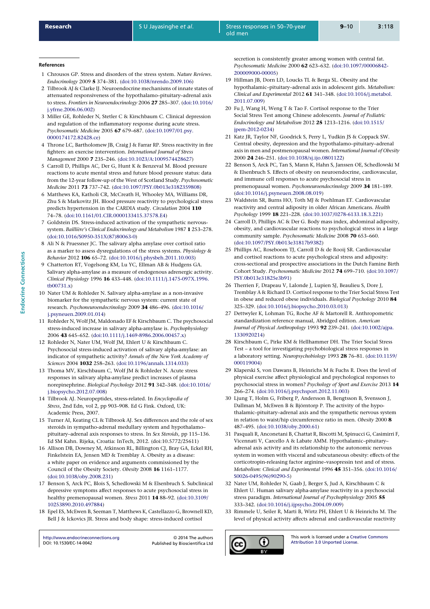#### <span id="page-8-0"></span>References

- 1 Chrousos GP. Stress and disorders of the stress system. Nature Reviews. Endocrinology 2009 5 374–381. (doi:10.1038/nrendo.2009.106)
- 2 Tilbrook AJ & Clarke IJ. Neuroendocrine mechanisms of innate states of attenuated responsiveness of the hypothalamo–pituitary–adrenal axis to stress. Frontiers in Neuroendocrinology 2006 27 285-307. (doi:10.1016/ j.yfrne.2006.06.002)
- 3 Miller GE, Rohleder N, Stetler [C & Kirschbaum C. Clinical dep](http://dx.doi.org/10.1038/nrendo.2009.106)ression and regulation of the inflammatory response during acute stress. Psychosomatic Medicine 2005 67 679–687. (doi:10.1097/01.psy. 0000174172.82428.ce)
- 4 [Throne LC, Bartholo](http://dx.doi.org/10.1016/j.yfrne.2006.06.002)mew JB, Craig J & Farrar RP. Stress reactivity in fire fighters: an exercise intervention. International Journal of Stress Management 2000 7 235–246. (doi:10.1023/A:1009574428627)
- 5 Carroll D, Phillips AC, Der G, Hunt K & B[enzeval M. Blood pre](http://dx.doi.org/10.1097/01.psy.0000174172.82428.ce)ssure [reactions to acute men](http://dx.doi.org/10.1097/01.psy.0000174172.82428.ce)tal stress and future blood pressure status: data from the 12-year follow-up of the West of Scotland Study. Psychosomatic Medicine 2011 73 737–742. (doi:10.1097/PSY.0b013e3182359808)
- 6 Matthews KA, Katholi CR, Mc[Creath H, Whooley MA, William](http://dx.doi.org/10.1023/A:1009574428627)s DR, Zhu S & Markovitz JH. Blood pressure reactivity to psychological stress predicts hypertension in the CARDIA study. Circulation 2004 110 74–78. (doi:10.1161/01.CIR.0000133415.37578.E4)
- 7 Goldstein DS. Stress-induce[d activation of the sympathetic nervo](http://dx.doi.org/10.1097/PSY.0b013e3182359808)ussystem. Baillière's Clinical Endocrinology and Metabolism 1987 1 253-278. (doi:10.1016/S0950-351X(87)80063-0)
- 8 Ali N & Pruessner JC. The salivary alpha amylase over cortisol ratio as a ma[rker to assess dysregulations of the stress sy](http://dx.doi.org/10.1161/01.CIR.0000133415.37578.E4)stems. Physiology & Behavior 2012 106 65–72. (doi:10.1016/j.physbeh.2011.10.003)
- 9 Chatterton RT, Vogelsong KM, Lu YC, Ellman AB & Hudgens GA. [Salivary alpha-amylase as a measure of](http://dx.doi.org/10.1016/S0950-351X(87)80063-0) endogenous adrenergic activity. Clinical Physiology 1996 16 433–448. (doi:10.1111/j.1475-097X.1996. tb00731.x)
- 10 Nater UM & Rohleder N. S[alivary alpha-amylase as a non-invas](http://dx.doi.org/10.1016/j.physbeh.2011.10.003)ive biomarker for the sympathetic nervous system: current state of research. Psychoneuroendocrinology 2009 34 486–496. (doi:10.1016/ j.psyneuen.2009.01.014)
- 11 [Rohleder N](http://dx.doi.org/10.1111/j.1475-097X.1996.tb00731.x), Wolf JM, Maldonado EF & Kirschbaum C. The psychosocial stress-induced increase in salivary alpha-amylase is. Psychophysiology 2006 43 645–652. (doi:10.1111/j.1469-8986.2006.00457.x)
- 12 Rohleder N, Nater UM, Wolf JM, Ehlert U & Kirschba[um C.](http://dx.doi.org/10.1016/j.psyneuen.2009.01.014) [Psychosocial stress-induc](http://dx.doi.org/10.1016/j.psyneuen.2009.01.014)ed activation of salivary alpha-amylase: an indicator of sympathetic activity? Annals of the New York Academy of Sciences 2004 1032 258–263. (doi:10.1196/annals.1314.033)
- 13 Thoma MV, Kirsch[baum C, Wolf JM & Rohleder N. Acute](http://dx.doi.org/10.1111/j.1469-8986.2006.00457.x) stress responses in salivary alpha-amylase predict increases of plasma norepinephrine. Biological Psychology 2012 91 342–348. (doi:10.1016/ j.biopsycho.2012.07.008)
- 14 Tilbrook AJ. Neuropeptides, st[ress-related. In](http://dx.doi.org/10.1196/annals.1314.033) Encyclopedia of Stress, 2nd Edn, vol 2, pp 903–908. Ed G Fink. Oxford, UK: Academic Press, 2007.
- 15 Turner AI, Keating CL & Tilbrook AJ. Sex differences and [the role of sex](http://dx.doi.org/10.1016/j.biopsycho.2012.07.008) [steroids in sympatho-adr](http://dx.doi.org/10.1016/j.biopsycho.2012.07.008)enal medullary system and hypothalamo– pituitary–adrenal axis responses to stress. In Sex Steroids, pp 115–136. Ed SM Kahn. Rijeka, Croatia: InTech, 2012. (doi:10.5772/25611)
- 16 Allison DB, Downey M, Atkinson RL, Billington CJ, Bray GA, Eckel RH, Finkelstein EA, Jensen MD & Tremblay A. Obesity as a disease: a white paper on evidence and arguments commissioned by the Council of the Obesity Society. Obesity 2008 16 1161–1177. (doi:10.1038/oby.2008.231)
- 17 Benson S, Arck PC, Blois S, Schedlowski M & Elsenbruch S. Subclinical depressive symptoms affect responses to acute psychosocial stress in healthy premenopausal women. Stress 2011 14 88–92. (doi:10.3109/ 10253890.2010.497884)
- 18 [Epel ES, McEwen B, Seeman](http://dx.doi.org/10.1038/oby.2008.231) T, Matthews K, Castellazzo G, Brownell KD, Bell J & Ickovics JR. Stress and body shape: stress-induced cortisol

http://www.endocrineconnections.org D[OI:](http://dx.doi.org/10.3109/10253890.2010.497884) [10.1530/EC-14-0042](http://dx.doi.org/10.3109/10253890.2010.497884)

 [2014](http://dx.doi.org/10.3109/10253890.2010.497884) [The](http://dx.doi.org/10.3109/10253890.2010.497884) [autho](http://dx.doi.org/10.3109/10253890.2010.497884)rs Published by Bioscientifica Ltd

secretion is consistently greater among women with central fat. Psychosomatic Medicine 2000 62 623–632. (doi:10.1097/00006842- 200009000-00005)

- 19 Hillman JB, Dorn LD, Loucks TL & Berga SL. Obesity and the hypothalamic–pituitary–adrenal axis in adolescent girls. Metabolism: Clinical and Experimental 2012 61 341–348. (doi:10.1016/j.metabol. 2011.07.009)
- 20 [Fu J, Wang H, We](http://dx.doi.org/10.1097/00006842-200009000-00005)ng T & Tao F. Cortisol response to the Trier Social Stress Test among Chinese adolescents. Journal of Pediatric Endocrinology and Metabolism 2012 25 1213–1216. (doi:10.1515/ jpem-2012-0234)
- 21 [Katz JR, Tayl](http://dx.doi.org/10.1016/j.metabol.2011.07.009)or NF, Goodrick S, Perry L, Yudkin JS & Coppack SW. Central obesity, depression and the hypothalamo–pituitary–adrenal axis in men and postmenopausal women. International Journal of Obesity 2000 24 246–251. (doi:10.1038/sj.ijo.0801122)
- 22 [Benson S, Arck P](http://dx.doi.org/10.1515/jpem-2012-0234)C, Tan S, Mann K, Hahn S, Janssen OE, Schedlowski M & Elsenbruch S. Effects of obesity on neuroendocrine, cardiovascular, and immune cell responses to acute psychosocial stress in premenopausal women. Psychoneuroendocrinology 2009 34 181–189. (doi:10.1016/j.psy[neuen.2008.08.019\)](http://dx.doi.org/10.1038/sj.ijo.0801122)
- 23 Waldstein SR, Burns HO, Toth MJ & Poehlman ET. Cardiovascular reactivity and central adiposity in older African Americans. Health Psychology 1999 18 221–228. (doi:10.1037/0278-6133.18.3.221)
- 24 Carroll D, Phillips AC & Der G. Body mass index, abdominal adiposity, [obesity, and cardiovascular reactions](http://dx.doi.org/10.1016/j.psyneuen.2008.08.019) to psychological stress in a large community sample. Psychosomatic Medicine 2008 70 653-660. (doi:10.1097/PSY.0b013e31817b9382)
- 25 Phillips AC, Roseboom TJ, Ca[rroll D & de Rooij SR. Cardiovasc](http://dx.doi.org/10.1037/0278-6133.18.3.221)ular and cortisol reactions to acute psychological stress and adiposity: cross-sectional and prospective associations in the Dutch Famine Birth Cohort Study. Psychosomatic Medicine 2012 74 699–710. (doi:10.1097/ [PSY.0b013e31825e3b91\)](http://dx.doi.org/10.1097/PSY.0b013e31817b9382)
- 26 Therrien F, Drapeau V, Lalonde J, Lupien SJ, Beaulieu S, Dore J, Tremblay A & Richard D. Cortisol response to the Trier Social Stress Test in obese and reduced obese individuals. Biological Psychology 2010 84 325–329. (doi:10.1016/j.biopsycho.2010.03.013)
- 27 [Dettwyler K, Lohman TG](http://dx.doi.org/10.1097/PSY.0b013e31825e3b91), Roche AF & Martorell R. Anthropometric standardization reference manual, Abridged edition. American Journal of Physical Anthropology 1993 92 239–241. (doi:10.1002/ajpa. 1330920214)
- 28 Kirschbau[m C, Pirke KM & Hellhammer DH. Th](http://dx.doi.org/10.1016/j.biopsycho.2010.03.013)e Trier Social Stress Test – a tool for investigating psychobiological stress responses in a laboratory setting. Neuropsychobiology 1993 28 76–81. (doi:10.1159/ 000119004)
- 29 [Klaperski S, v](http://dx.doi.org/10.1002/ajpa.1330920214)on Dawans B, Heinrichs M & Fuchs R. Does the level of physical exercise affect physiological and psychological responses to psychosocial stress in women? Psychology of Sport and Exercise 2013 14 266–274. (doi:10.1016/j.psychsport.2012.11.003)
- 30 [Ljung T, Ho](http://dx.doi.org/10.1159/000119004)lm G, Friberg P, Andersson B, Bengtsson B, Svensson J, Dallman M, McEwen B & Björntorp P. The activity of the hypothalamic–pituitary–adrenal axis and the sympathetic nervous system in relation to waist/hip circumference ratio in men. Obesity 2000 8 487–495. ([doi:10.1038/oby.2000.61\)](http://dx.doi.org/10.1016/j.psychsport.2012.11.003)
- 31 Pasquali R, Anconetani B, Chattat R, Biscotti M, Spinucci G, Casimirri F, Vicennati V, Carcello A & Labate AMM. Hypothalamic–pituitary– adrenal axis activity and its relationship to the autonomic nervous system in women with visceral and subcutaneous obesity: effects of the corticotro[pin-releasing factor argini](http://dx.doi.org/10.1038/oby.2000.61)ne–vasopressin test and of stress. Metabolism: Clinical and Experimental 1996 45 351–356. (doi:10.1016/ S0026-0495(96)90290-5)
- 32 Nater UM, Rohleder N, Gaab J, Berger S, Jud A, Kirschbaum C & Ehlert U. Human salivary alpha-amylase reactivity in a psychosocial stress paradigm. International Journal of Psychophysiology 2005 55 333–342. (doi:10.1016/j.ijpsycho.2004.09.009)
- 33 [Rimmele U, Seiler R, Ma](http://dx.doi.org/10.1016/S0026-0495(96)90290-5)rti B, Wirtz PH, Ehlert U & Heinrichs M. The level of physical activity affects adrenal and cardiovascular reactivity